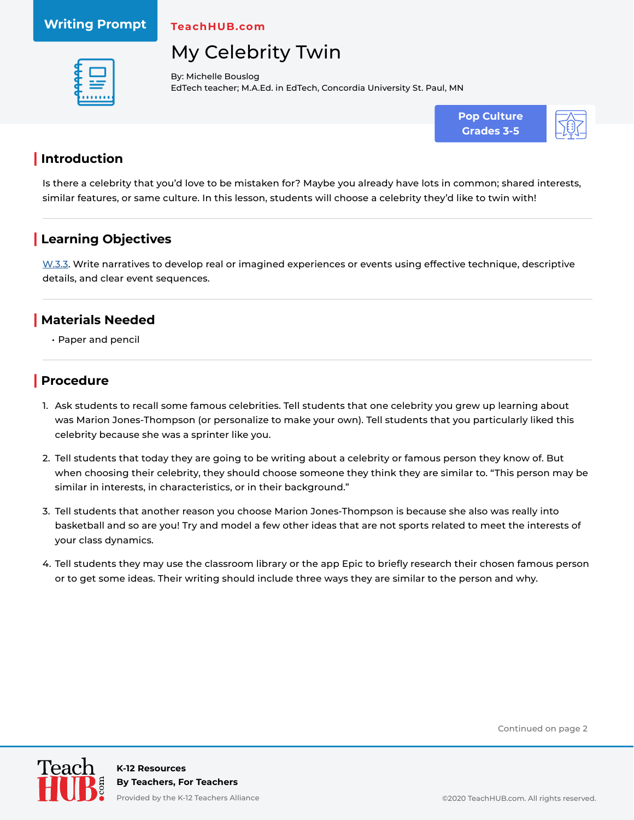#### **Writing Prompt**

**TeachHUB.com**

# My Celebrity Twin



By: Michelle Bouslog EdTech teacher; M.A.Ed. in EdTech, Concordia University St. Paul, MN





#### **| Introduction**

Is there a celebrity that you'd love to be mistaken for? Maybe you already have lots in common; shared interests, similar features, or same culture. In this lesson, students will choose a celebrity they'd like to twin with!

### **| Learning Objectives**

[W.3.3.](http://www.corestandards.org/ELA-Literacy/W/3/3/) Write narratives to develop real or imagined experiences or events using effective technique, descriptive details, and clear event sequences.

#### **| Materials Needed**

• Paper and pencil

#### **| Procedure**

- 1. Ask students to recall some famous celebrities. Tell students that one celebrity you grew up learning about was Marion Jones-Thompson (or personalize to make your own). Tell students that you particularly liked this celebrity because she was a sprinter like you.
- 2. Tell students that today they are going to be writing about a celebrity or famous person they know of. But when choosing their celebrity, they should choose someone they think they are similar to. "This person may be similar in interests, in characteristics, or in their background."
- 3. Tell students that another reason you choose Marion Jones-Thompson is because she also was really into basketball and so are you! Try and model a few other ideas that are not sports related to meet the interests of your class dynamics.
- 4. Tell students they may use the classroom library or the app Epic to briefly research their chosen famous person or to get some ideas. Their writing should include three ways they are similar to the person and why.

Continued on page 2